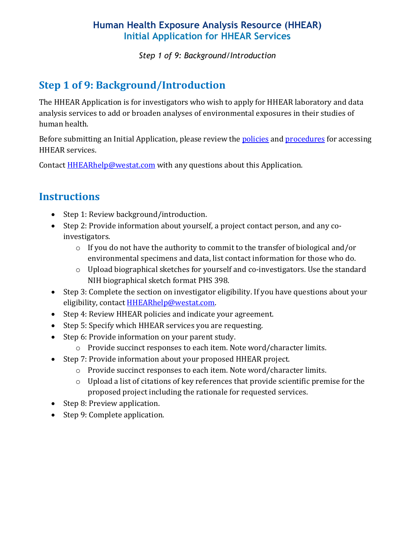*Step 1 of 9: Background/Introduction*

# **Step 1 of 9: Background/Introduction**

The HHEAR Application is for investigators who wish to apply for HHEAR laboratory and data analysis services to add or broaden analyses of environmental exposures in their studies of human health.

Before submitting an Initial Application, please review the [policies](https://hhearprogram.org/policies) and [procedures](https://hhearprogram.org/how-apply) for accessing HHEAR services.

Contact **HHEARhelp@westat.com** with any questions about this Application.

## **Instructions**

- Step 1: Review background/introduction.
- Step 2: Provide information about yourself, a project contact person, and any coinvestigators.
	- o If you do not have the authority to commit to the transfer of biological and/or environmental specimens and data, list contact information for those who do.
	- o Upload biographical sketches for yourself and co-investigators. Use the standard NIH biographical sketch format PHS 398.
- Step 3: Complete the section on investigator eligibility. If you have questions about your eligibility, contact **HHEARhelp@westat.com**.
- Step 4: Review HHEAR policies and indicate your agreement.
- Step 5: Specify which HHEAR services you are requesting.
- Step 6: Provide information on your parent study.
	- o Provide succinct responses to each item. Note word/character limits.
- Step 7: Provide information about your proposed HHEAR project.
	- o Provide succinct responses to each item. Note word/character limits.
	- o Upload a list of citations of key references that provide scientific premise for the proposed project including the rationale for requested services.
- Step 8: Preview application.
- Step 9: Complete application.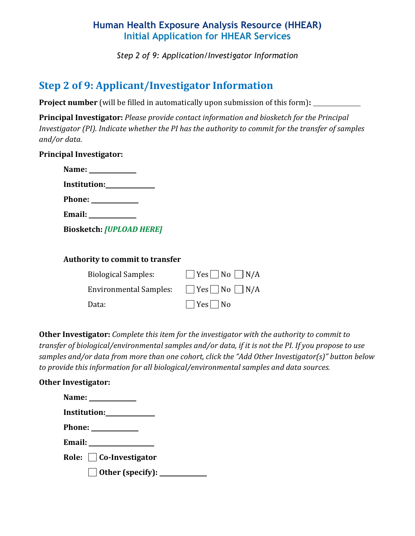*Step 2 of 9: Application/Investigator Information*

## **Step 2 of 9: Applicant/Investigator Information**

**Project number** (will be filled in automatically upon submission of this form)**:** 

**Principal Investigator:** *Please provide contact information and biosketch for the Principal Investigator (PI). Indicate whether the PI has the authority to commit for the transfer of samples and/or data.* 

#### **Principal Investigator:**

| Name: Name                                                                                                               |  |
|--------------------------------------------------------------------------------------------------------------------------|--|
| <b>Institution:</b> The Manual Section of the Manual Section of the Manual Section of the Manual Section of the Manual S |  |
| <b>Phone:</b>                                                                                                            |  |
| <b>Email:</b>                                                                                                            |  |

**Biosketch:** *[UPLOAD HERE]*

#### **Authority to commit to transfer**

| <b>Biological Samples:</b>    | $\Box$ Yes $\Box$ No $\Box$ N/A |
|-------------------------------|---------------------------------|
| <b>Environmental Samples:</b> | $\Box$ Yes $\Box$ No $\Box$ N/A |
| Data:                         | $\Box$ Yes $\Box$ No            |

**Other Investigator:** *Complete this item for the investigator with the authority to commit to transfer of biological/environmental samples and/or data, if it is not the PI. If you propose to use samples and/or data from more than one cohort, click the "Add Other Investigator(s)" button below to provide this information for all biological/environmental samples and data sources.*

#### **Other Investigator:**

| Name: $\frac{1}{\sqrt{1-\frac{1}{2}}\cdot\frac{1}{\sqrt{1-\frac{1}{2}}}}$ |
|---------------------------------------------------------------------------|
| Institution: 1997                                                         |
|                                                                           |
|                                                                           |
| Role: $\Box$ Co-Investigator                                              |
| $\Box$ Other (specify): $\_\_\_\_\_\_\_\_\_\_\_\_\_\_\_\_\_\_\_\_\_$      |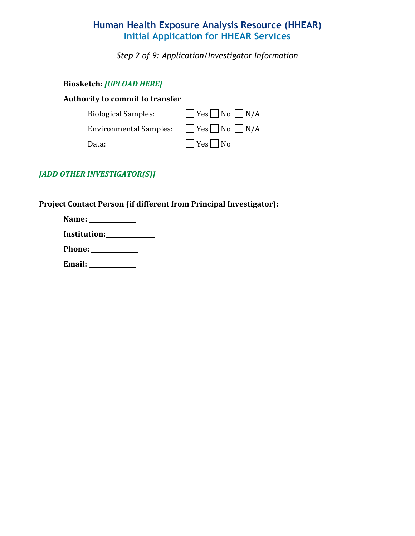*Step 2 of 9: Application/Investigator Information*

#### **Biosketch:** *[UPLOAD HERE]*

#### **Authority to commit to transfer**

| <b>Biological Samples:</b>    | $Yes$ No $N/A$       |
|-------------------------------|----------------------|
| <b>Environmental Samples:</b> | $Yes$ No $N/A$       |
| Data:                         | $\Box$ Yes $\Box$ No |

#### *[ADD OTHER INVESTIGATOR(S)]*

#### **Project Contact Person (if different from Principal Investigator):**

| Name:                         |  |
|-------------------------------|--|
|                               |  |
| Phone: <u>_______________</u> |  |
| <b>Email:</b>                 |  |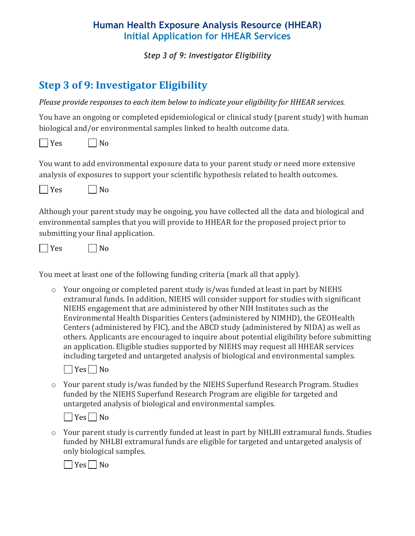*Step 3 of 9: Investigator Eligibility*

# **Step 3 of 9: Investigator Eligibility**

*Please provide responses to each item below to indicate your eligibility for HHEAR services.*

You have an ongoing or completed epidemiological or clinical study (parent study) with human biological and/or environmental samples linked to health outcome data.

 $\Box$  Yes  $\Box$  No

You want to add environmental exposure data to your parent study or need more extensive analysis of exposures to support your scientific hypothesis related to health outcomes.

 $\Box$  Yes  $\Box$  No

Although your parent study may be ongoing, you have collected all the data and biological and environmental samples that you will provide to HHEAR for the proposed project prior to submitting your final application.

 $\Box$  Yes  $\Box$  No

You meet at least one of the following funding criteria (mark all that apply).

o Your ongoing or completed parent study is/was funded at least in part by NIEHS extramural funds. In addition, NIEHS will consider support for studies with significant NIEHS engagement that are administered by other NIH Institutes such as the Environmental Health Disparities Centers (administered by NIMHD), the GEOHealth Centers (administered by FIC), and the ABCD study (administered by NIDA) as well as others. Applicants are encouraged to inquire about potential eligibility before submitting an application. Eligible studies supported by NIEHS may request all HHEAR services including targeted and untargeted analysis of biological and environmental samples.



o Your parent study is/was funded by the NIEHS Superfund Research Program. Studies funded by the NIEHS Superfund Research Program are eligible for targeted and untargeted analysis of biological and environmental samples.

 $\Box$  Yes  $\Box$  No

o Your parent study is currently funded at least in part by NHLBI extramural funds. Studies funded by NHLBI extramural funds are eligible for targeted and untargeted analysis of only biological samples.

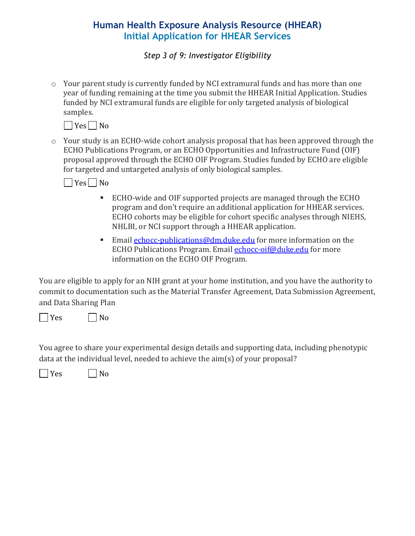*Step 3 of 9: Investigator Eligibility*

o Your parent study is currently funded by NCI extramural funds and has more than one year of funding remaining at the time you submit the HHEAR Initial Application. Studies funded by NCI extramural funds are eligible for only targeted analysis of biological samples.



o Your study is an ECHO-wide cohort analysis proposal that has been approved through the ECHO Publications Program, or an ECHO Opportunities and Infrastructure Fund (OIF) proposal approved through the ECHO OIF Program. Studies funded by ECHO are eligible for targeted and untargeted analysis of only biological samples.



- ECHO-wide and OIF supported projects are managed through the ECHO program and don't require an additional application for HHEAR services. ECHO cohorts may be eligible for cohort specific analyses through NIEHS, NHLBI, or NCI support through a HHEAR application.
- Email [echocc-publications@dm.duke.edu](mailto:echocc-publications@dm.duke.edu) for more information on the ECHO Publications Program. Email [echocc-oif@duke.edu](mailto:echocc-oif@duke.edu) for more information on the ECHO OIF Program.

You are eligible to apply for an NIH grant at your home institution, and you have the authority to commit to documentation such as the Material Transfer Agreement, Data Submission Agreement, and Data Sharing Plan

 $\Box$  Yes  $\Box$  No

You agree to share your experimental design details and supporting data, including phenotypic data at the individual level, needed to achieve the aim(s) of your proposal?

 $\Box$  Yes  $\Box$  No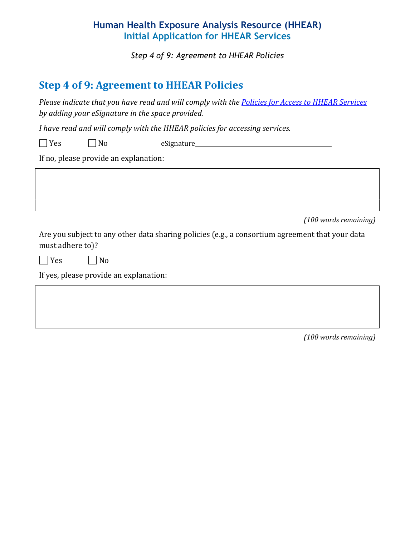*Step 4 of 9: Agreement to HHEAR Policies*

## **Step 4 of 9: Agreement to HHEAR Policies**

*Please indicate that you have read and will comply with the [Policies for Access to HHEAR Services](https://hhearprogram.org/policies) by adding your eSignature in the space provided.*

*I have read and will comply with the HHEAR policies for accessing services.*

| res i | $N_{\ell}$<br>ັ | eSignature_ |  |
|-------|-----------------|-------------|--|
|-------|-----------------|-------------|--|

If no, please provide an explanation:

*(100 words remaining)*

Are you subject to any other data sharing policies (e.g., a consortium agreement that your data must adhere to)?

 $\Box$  Yes  $\Box$  No

If yes, please provide an explanation: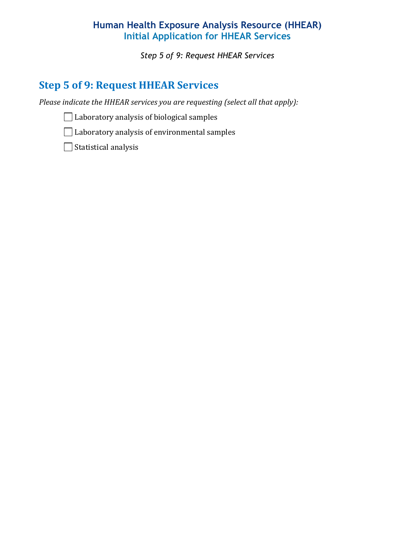*Step 5 of 9: Request HHEAR Services*

# **Step 5 of 9: Request HHEAR Services**

*Please indicate the HHEAR services you are requesting (select all that apply):* 

 $\Box$  Laboratory analysis of biological samples

Laboratory analysis of environmental samples

Statistical analysis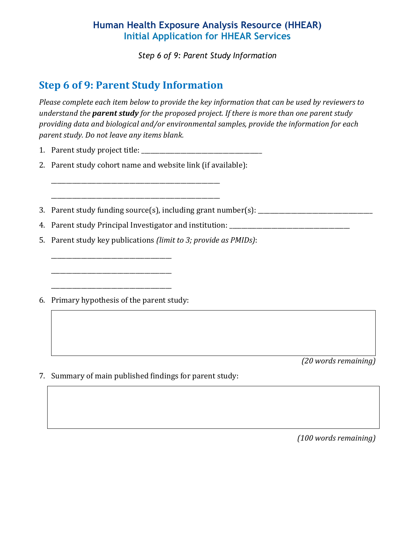*Step 6 of 9: Parent Study Information*

# **Step 6 of 9: Parent Study Information**

*Please complete each item below to provide the key information that can be used by reviewers to understand the parent study for the proposed project. If there is more than one parent study providing data and biological and/or environmental samples, provide the information for each parent study. Do not leave any items blank.*

- 1. Parent study project title: \_\_\_\_\_\_\_\_\_\_\_\_\_\_\_\_\_\_\_\_\_\_\_\_\_\_\_\_\_\_\_\_\_\_\_\_\_\_\_\_
- 2. Parent study cohort name and website link (if available):

\_\_\_\_\_\_\_\_\_\_\_\_\_\_\_\_\_\_\_\_\_\_\_\_\_\_\_\_\_\_\_\_\_\_\_\_\_\_\_\_\_\_\_\_\_\_\_\_\_\_\_\_\_\_\_\_

\_\_\_\_\_\_\_\_\_\_\_\_\_\_\_\_\_\_\_\_\_\_\_\_\_\_\_\_\_\_\_\_\_\_\_\_\_\_\_\_\_\_\_\_\_\_\_\_\_\_\_\_\_\_\_\_

- 3. Parent study funding source(s), including grant number(s): \_\_\_\_\_\_\_\_\_\_\_\_\_\_\_\_\_\_\_\_\_\_\_\_\_
- 4. Parent study Principal Investigator and institution: \_\_\_\_\_\_\_\_\_\_\_\_\_\_\_\_\_\_\_\_\_\_\_\_\_
- 5. Parent study key publications *(limit to 3; provide as PMIDs)*:
- 6. Primary hypothesis of the parent study:

\_\_\_\_\_\_\_\_\_\_\_\_\_\_\_\_\_\_\_\_\_\_\_\_\_\_\_\_\_\_\_\_\_\_\_\_\_\_\_\_

\_\_\_\_\_\_\_\_\_\_\_\_\_\_\_\_\_\_\_\_\_\_\_\_\_\_\_\_\_\_\_\_\_\_\_\_\_\_\_\_

\_\_\_\_\_\_\_\_\_\_\_\_\_\_\_\_\_\_\_\_\_\_\_\_\_\_\_\_\_\_\_\_\_\_\_\_\_\_\_\_

*(20 words remaining)*

7. Summary of main published findings for parent study: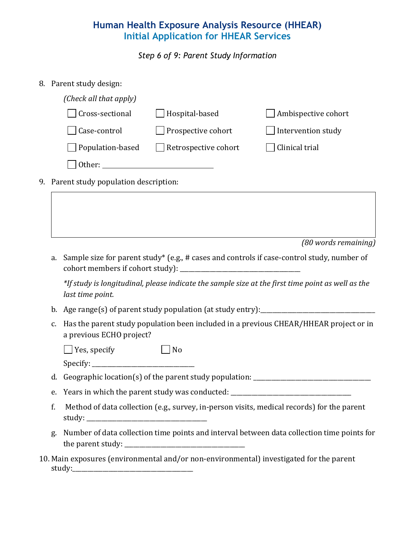*Step 6 of 9: Parent Study Information*

8. Parent study design:

| (Check all that apply) |                             |                     |
|------------------------|-----------------------------|---------------------|
| <b>Cross-sectional</b> | Hospital-based              | Ambispective cohort |
| Case-control           | Prospective cohort          | Intervention study  |
| Population-based       | $\Box$ Retrospective cohort | Clinical trial      |
| Other:                 |                             |                     |

9. Parent study population description:

*(80 words remaining)* 

a. Sample size for parent study\* (e.g., # cases and controls if case-control study, number of cohort members if cohort study):

*\*If study is longitudinal, please indicate the sample size at the first time point as well as the last time point.* 

- b. Age range(s) of parent study population (at study entry):
- c. Has the parent study population been included in a previous CHEAR/HHEAR project or in a previous ECHO project?

| $\Box$ Yes, specify | $\Box$ No |
|---------------------|-----------|
|---------------------|-----------|

 $\text{Specify:}\n\begin{picture}(15,15) \put(0,0){\vector(1,0){10}} \put(15,0){\vector(1,0){10}} \put(15,0){\vector(1,0){10}} \put(15,0){\vector(1,0){10}} \put(15,0){\vector(1,0){10}} \put(15,0){\vector(1,0){10}} \put(15,0){\vector(1,0){10}} \put(15,0){\vector(1,0){10}} \put(15,0){\vector(1,0){10}} \put(15,0){\vector(1,0){10}} \put(15,0){\vector(1,0){10}} \put(1$ 

d. Geographic location(s) of the parent study population: \_\_\_\_\_\_\_\_\_\_\_\_\_\_\_\_\_\_\_\_\_\_\_

e. Years in which the parent study was conducted: \_\_\_\_\_\_\_\_\_\_\_\_\_\_\_\_\_\_\_\_\_\_\_\_\_\_\_\_\_\_

- f. Method of data collection (e.g., survey, in-person visits, medical records) for the parent study:
- g. Number of data collection time points and interval between data collection time points for the parent study: \_\_\_\_\_\_\_\_\_\_\_\_\_\_\_\_\_\_\_\_\_\_\_\_\_\_\_\_\_\_\_\_\_\_\_\_\_\_\_\_
- 10. Main exposures (environmental and/or non-environmental) investigated for the parent study:\_\_\_\_\_\_\_\_\_\_\_\_\_\_\_\_\_\_\_\_\_\_\_\_\_\_\_\_\_\_\_\_\_\_\_\_\_\_\_\_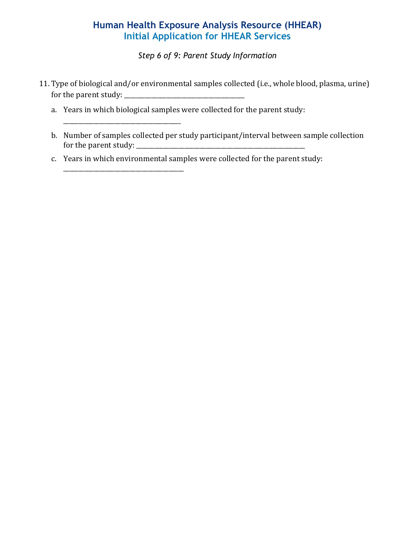*Step 6 of 9: Parent Study Information*

- 11. Type of biological and/or environmental samples collected (i.e., whole blood, plasma, urine) for the parent study: \_\_\_\_\_\_\_\_\_\_\_\_\_\_\_\_\_\_\_\_\_\_\_\_\_\_\_\_\_\_\_\_\_\_\_\_\_\_\_\_
	- a. Years in which biological samples were collected for the parent study:

\_\_\_\_\_\_\_\_\_\_\_\_\_\_\_\_\_\_\_\_\_\_\_\_\_\_\_\_\_\_\_\_\_\_\_\_\_\_\_

\_\_\_\_\_\_\_\_\_\_\_\_\_\_\_\_\_\_\_\_\_\_\_\_\_\_\_\_\_\_\_\_\_\_\_\_\_\_\_\_

- b. Number of samples collected per study participant/interval between sample collection for the parent study: \_\_\_\_\_\_\_\_\_\_\_\_\_\_\_\_\_\_\_\_\_\_\_\_\_\_\_\_\_\_\_\_\_\_\_\_\_\_\_\_\_\_\_\_\_\_\_\_\_\_\_\_\_\_\_\_
- c. Years in which environmental samples were collected for the parent study: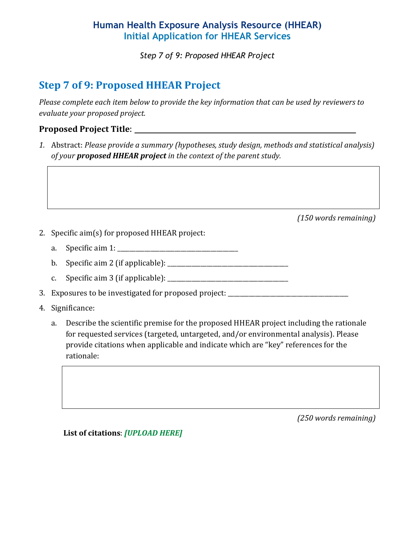*Step 7 of 9: Proposed HHEAR Project*

# **Step 7 of 9: Proposed HHEAR Project**

*Please complete each item below to provide the key information that can be used by reviewers to evaluate your proposed project.* 

#### **Proposed Project Title**:

*1.* Abstract: *Please provide a summary (hypotheses, study design, methods and statistical analysis) of your proposed HHEAR project in the context of the parent study.*

*(150 words remaining)*

- 2. Specific aim(s) for proposed HHEAR project:
	- a. Specific aim 1: \_\_\_\_\_\_\_\_\_\_\_\_\_\_\_\_\_\_\_\_\_\_\_\_\_\_\_\_\_\_\_\_\_\_\_\_\_\_\_\_
	- b. Specific aim 2 (if applicable): \_\_\_\_\_\_\_\_\_\_\_\_\_\_\_\_\_\_\_\_\_\_\_\_\_\_\_\_\_\_\_\_\_\_\_\_\_\_\_\_
	- c. Specific aim 3 (if applicable):  $\frac{1}{2}$  [200]  $\frac{1}{2}$  [30]  $\frac{1}{2}$  [30]  $\frac{1}{2}$  [30]  $\frac{1}{2}$  [30]  $\frac{1}{2}$  [30]  $\frac{1}{2}$  [30]  $\frac{1}{2}$  [30]  $\frac{1}{2}$  [30]  $\frac{1}{2}$  [30]  $\frac{1}{2}$  [30]  $\frac{1}{2}$  [30]  $\frac{1$

3. Exposures to be investigated for proposed project: \_\_\_\_\_\_\_\_\_\_\_\_\_\_\_\_\_\_\_\_\_\_\_\_\_\_

- 4. Significance:
	- a. Describe the scientific premise for the proposed HHEAR project including the rationale for requested services (targeted, untargeted, and/or environmental analysis). Please provide citations when applicable and indicate which are "key" references for the rationale:

*(250 words remaining)*

**List of citations**: *[UPLOAD HERE]*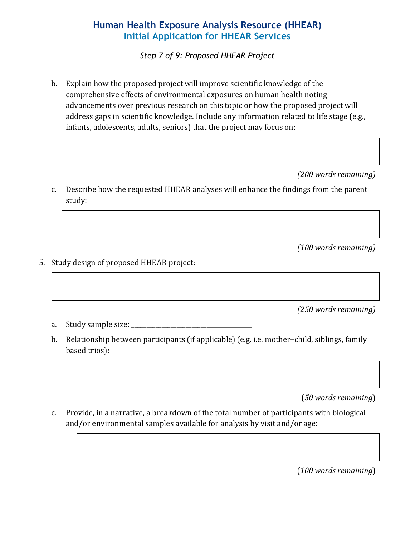*Step 7 of 9: Proposed HHEAR Project*

b. Explain how the proposed project will improve scientific knowledge of the comprehensive effects of environmental exposures on human health noting advancements over previous research on this topic or how the proposed project will address gaps in scientific knowledge. Include any information related to life stage (e.g., infants, adolescents, adults, seniors) that the project may focus on:

*(200 words remaining)* 

c. Describe how the requested HHEAR analyses will enhance the findings from the parent study:

*(100 words remaining)* 

5. Study design of proposed HHEAR project:

*(250 words remaining)* 

- a. Study sample size:
- b. Relationship between participants (if applicable) (e.g. i.e. mother–child, siblings, family based trios):

(*50 words remaining*)

c. Provide, in a narrative, a breakdown of the total number of participants with biological and/or environmental samples available for analysis by visit and/or age: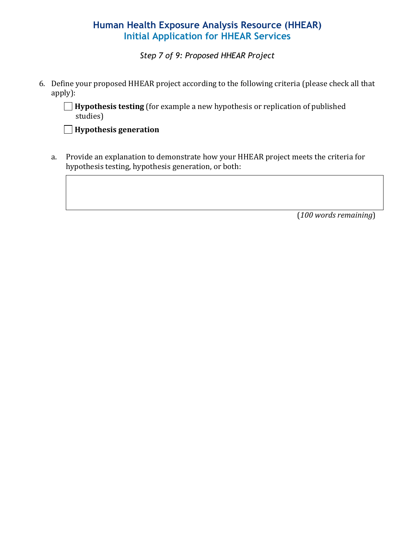*Step 7 of 9: Proposed HHEAR Project*

6. Define your proposed HHEAR project according to the following criteria (please check all that apply):

**Hypothesis testing** (for example a new hypothesis or replication of published studies)

**Hypothesis generation**

a. Provide an explanation to demonstrate how your HHEAR project meets the criteria for hypothesis testing, hypothesis generation, or both: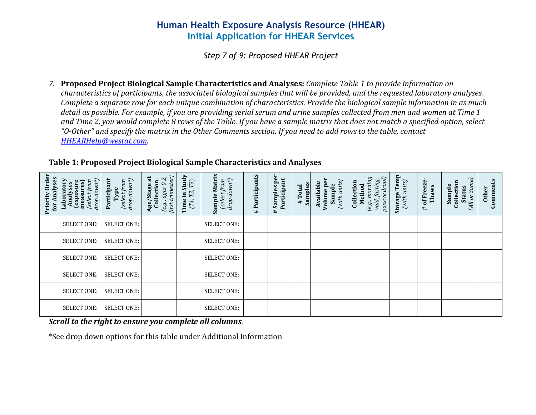*Step 7 of 9: Proposed HHEAR Project*

*7.* **Proposed Project Biological Sample Characteristics and Analyses:** *Complete Table 1 to provide information on characteristics of participants, the associated biological samples that will be provided, and the requested laboratory analyses. Complete a separate row for each unique combination of characteristics. Provide the biological sample information in as much detail as possible. For example, if you are providing serial serum and urine samples collected from men and women at Time 1 and Time 2, you would complete 8 rows of the Table. If you have a sample matrix that does not match a specified option, select "O-Other" and specify the matrix in the Other Comments section. If you need to add rows to the table, contact [HHEARHelp@westat.com.](mailto:HHEARHelp@westat.com)* 

| Priority Order<br>for Analyses | Laboratory<br>Analyses<br>drop down ${}^*\!)$<br>(select from<br>measures)<br>exposure) | Participant<br>drop down*)<br>(select from<br>Type | $\begin{array}{c} (e.g.,\,age\,9\text{-}2, \\ \textit{first trimester)} \end{array}$<br>Age/Stage at<br>Collection | Time in Study<br>T3)<br>T2,<br>(T1, | Sample Matrix<br>$\begin{array}{c} \text{(select from} \\ \text{drop down*)} \end{array}$ | Participants<br>$\ddot{}$ | # Samples per<br>Participant | Samples<br>#Total | Volume per<br>(with units)<br>Available<br>Sample | $passive\,droot)$<br>(e.g., morning<br>void, fasting,<br>Collection<br>Method | <b>Storage Temp</b><br>(with units) | # of Freeze<br>Thaws | (All or Some)<br>Collection<br>Sample<br><b>Status</b> | Comments<br><b>Other</b> |
|--------------------------------|-----------------------------------------------------------------------------------------|----------------------------------------------------|--------------------------------------------------------------------------------------------------------------------|-------------------------------------|-------------------------------------------------------------------------------------------|---------------------------|------------------------------|-------------------|---------------------------------------------------|-------------------------------------------------------------------------------|-------------------------------------|----------------------|--------------------------------------------------------|--------------------------|
|                                | <b>SELECT ONE:</b>                                                                      | <b>SELECT ONE:</b>                                 |                                                                                                                    |                                     | <b>SELECT ONE:</b>                                                                        |                           |                              |                   |                                                   |                                                                               |                                     |                      |                                                        |                          |
|                                | <b>SELECT ONE:</b>                                                                      | <b>SELECT ONE:</b>                                 |                                                                                                                    |                                     | <b>SELECT ONE:</b>                                                                        |                           |                              |                   |                                                   |                                                                               |                                     |                      |                                                        |                          |
|                                | <b>SELECT ONE:</b>                                                                      | <b>SELECT ONE:</b>                                 |                                                                                                                    |                                     | <b>SELECT ONE:</b>                                                                        |                           |                              |                   |                                                   |                                                                               |                                     |                      |                                                        |                          |
|                                | <b>SELECT ONE:</b>                                                                      | <b>SELECT ONE:</b>                                 |                                                                                                                    |                                     | <b>SELECT ONE:</b>                                                                        |                           |                              |                   |                                                   |                                                                               |                                     |                      |                                                        |                          |
|                                | SELECT ONE:                                                                             | <b>SELECT ONE:</b>                                 |                                                                                                                    |                                     | <b>SELECT ONE:</b>                                                                        |                           |                              |                   |                                                   |                                                                               |                                     |                      |                                                        |                          |
|                                | <b>SELECT ONE:</b>                                                                      | <b>SELECT ONE:</b>                                 |                                                                                                                    |                                     | <b>SELECT ONE:</b>                                                                        |                           |                              |                   |                                                   |                                                                               |                                     |                      |                                                        |                          |

#### **Table 1: Proposed Project Biological Sample Characteristics and Analyses**

*Scroll to the right to ensure you complete all columns.* 

\*See drop down options for this table under Additional Information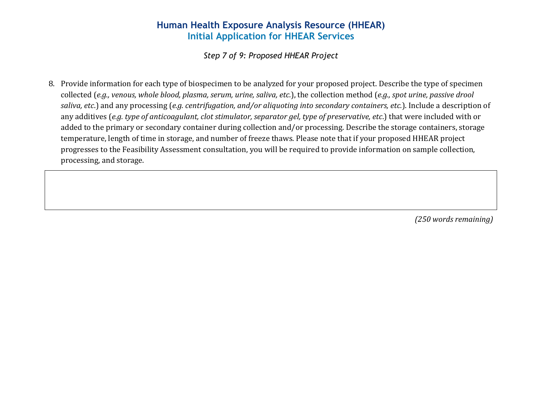*Step 7 of 9: Proposed HHEAR Project*

8. Provide information for each type of biospecimen to be analyzed for your proposed project. Describe the type of specimen collected (*e.g., venous, whole blood, plasma, serum, urine, saliva, etc.*), the collection method (*e.g., spot urine, passive drool saliva, etc*.) and any processing (*e.g. centrifugation, and/or aliquoting into secondary containers, etc.*). Include a description of any additives (*e.g. type of anticoagulant, clot stimulator, separator gel, type of preservative, etc*.) that were included with or added to the primary or secondary container during collection and/or processing. Describe the storage containers, storage temperature, length of time in storage, and number of freeze thaws. Please note that if your proposed HHEAR project progresses to the Feasibility Assessment consultation, you will be required to provide information on sample collection, processing, and storage.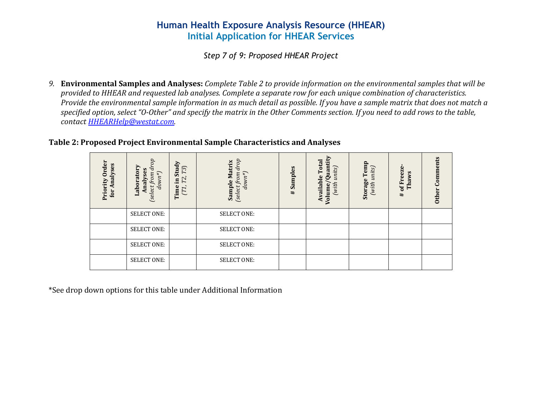*Step 7 of 9: Proposed HHEAR Project*

*9.* **Environmental Samples and Analyses:** *Complete Table 2 to provide information on the environmental samples that will be provided to HHEAR and requested lab analyses. Complete a separate row for each unique combination of characteristics. Provide the environmental sample information in as much detail as possible. If you have a sample matrix that does not match a specified option, select "O-Other" and specify the matrix in the Other Comments section. If you need to add rows to the table, contact [HHEARHelp@westat.com.](mailto:HHEARHelp@westat.com)* 

#### **Table 2: Proposed Project Environmental Sample Characteristics and Analyses**

| Order<br>Analyses<br>Priority<br>for | go<br>Laboratory<br>a<br>Analyses<br>$down*$<br>from<br>[select | Study<br>T3<br>Τ2,<br>Ξ.<br>Time<br>(T1, | drop<br><b>Matrix</b><br>$down^*)$<br><b>uo</b> .<br>Sample<br>Ë<br>(select) | Samples<br># | Total<br>Quanti<br>units)<br><b>Available</b><br>(with<br>Volume/ | Temp<br>units)<br>Storage<br>(with | of Freeze<br>Thaws<br>$\ddagger$ | Comments<br><b>Other</b> |
|--------------------------------------|-----------------------------------------------------------------|------------------------------------------|------------------------------------------------------------------------------|--------------|-------------------------------------------------------------------|------------------------------------|----------------------------------|--------------------------|
|                                      | <b>SELECT ONE:</b>                                              |                                          | <b>SELECT ONE:</b>                                                           |              |                                                                   |                                    |                                  |                          |
|                                      | <b>SELECT ONE:</b>                                              |                                          | <b>SELECT ONE:</b>                                                           |              |                                                                   |                                    |                                  |                          |
|                                      | <b>SELECT ONE:</b>                                              |                                          | <b>SELECT ONE:</b>                                                           |              |                                                                   |                                    |                                  |                          |
|                                      | <b>SELECT ONE:</b>                                              |                                          | <b>SELECT ONE:</b>                                                           |              |                                                                   |                                    |                                  |                          |

\*See drop down options for this table under Additional Information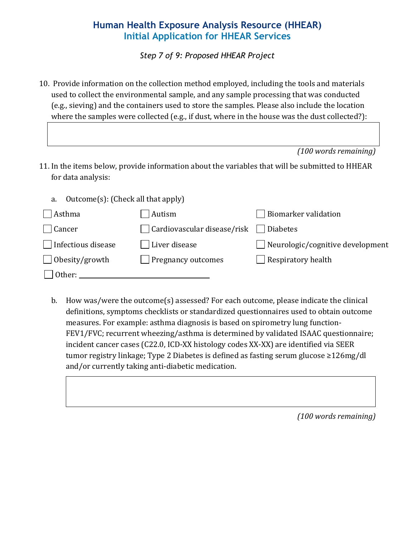*Step 7 of 9: Proposed HHEAR Project*

10. Provide information on the collection method employed, including the tools and materials used to collect the environmental sample, and any sample processing that was conducted (e.g., sieving) and the containers used to store the samples. Please also include the location where the samples were collected (e.g., if dust, where in the house was the dust collected?):

|  | (100 words remaining) |
|--|-----------------------|
|  |                       |

11. In the items below, provide information about the variables that will be submitted to HHEAR for data analysis:

| a.<br>- Outcome(s): (Check all that apply) |                                                    |                                         |
|--------------------------------------------|----------------------------------------------------|-----------------------------------------|
| Asthma                                     | Autism                                             | Biomarker validation                    |
| $ $ Cancer                                 | $\Box$ Cardiovascular disease/risk $\Box$ Diabetes |                                         |
| Infectious disease                         | Liver disease                                      | $\Box$ Neurologic/cognitive development |
| $\Box$ Obesity/growth                      | $\Box$ Pregnancy outcomes                          | $\Box$ Respiratory health               |
| Other:                                     |                                                    |                                         |

b. How was/were the outcome(s) assessed? For each outcome, please indicate the clinical definitions, symptoms checklists or standardized questionnaires used to obtain outcome measures. For example: asthma diagnosis is based on spirometry lung function-FEV1/FVC; recurrent wheezing/asthma is determined by validated ISAAC questionnaire; incident cancer cases (C22.0, ICD-XX histology codes XX-XX) are identified via SEER tumor registry linkage; Type 2 Diabetes is defined as fasting serum glucose ≥126mg/dl and/or currently taking anti-diabetic medication.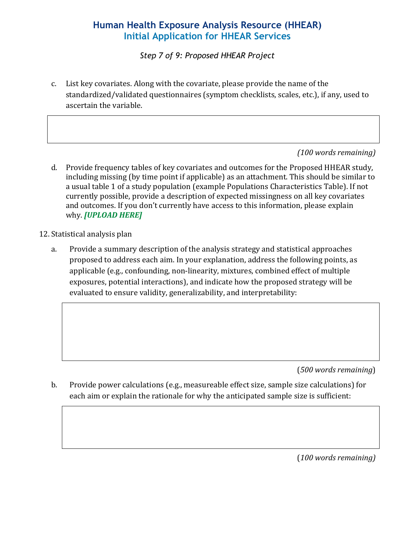*Step 7 of 9: Proposed HHEAR Project*

c. List key covariates. Along with the covariate, please provide the name of the standardized/validated questionnaires (symptom checklists, scales, etc.), if any, used to ascertain the variable.

#### *(100 words remaining)*

- d. Provide frequency tables of key covariates and outcomes for the Proposed HHEAR study, including missing (by time point if applicable) as an attachment. This should be similar to a usual table 1 of a study population (example Populations Characteristics Table). If not currently possible, provide a description of expected missingness on all key covariates and outcomes. If you don't currently have access to this information, please explain why. *[UPLOAD HERE]*
- 12. Statistical analysis plan
	- a. Provide a summary description of the analysis strategy and statistical approaches proposed to address each aim. In your explanation, address the following points, as applicable (e.g., confounding, non-linearity, mixtures, combined effect of multiple exposures, potential interactions), and indicate how the proposed strategy will be evaluated to ensure validity, generalizability, and interpretability:

(*500 words remaining*)

b. Provide power calculations (e.g., measureable effect size, sample size calculations) for each aim or explain the rationale for why the anticipated sample size is sufficient: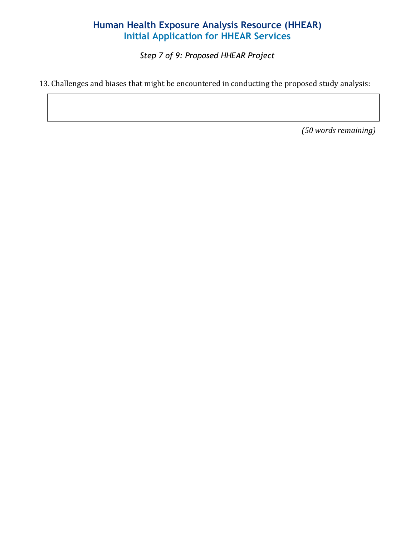*Step 7 of 9: Proposed HHEAR Project*

13. Challenges and biases that might be encountered in conducting the proposed study analysis: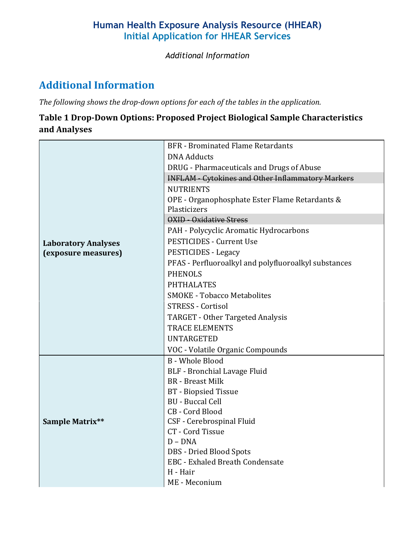*Additional Information*

# **Additional Information**

*The following shows the drop-down options for each of the tables in the application.*

## **Table 1 Drop-Down Options: Proposed Project Biological Sample Characteristics and Analyses**

|                                                   | <b>BFR</b> - Brominated Flame Retardants                       |
|---------------------------------------------------|----------------------------------------------------------------|
|                                                   | <b>DNA Adducts</b>                                             |
|                                                   | DRUG - Pharmaceuticals and Drugs of Abuse                      |
|                                                   | <b>INFLAM - Cytokines and Other Inflammatory Markers</b>       |
|                                                   | <b>NUTRIENTS</b>                                               |
|                                                   | OPE - Organophosphate Ester Flame Retardants &<br>Plasticizers |
|                                                   | <b>OXID - Oxidative Stress</b>                                 |
|                                                   | PAH - Polycyclic Aromatic Hydrocarbons                         |
| <b>Laboratory Analyses</b><br>(exposure measures) | <b>PESTICIDES - Current Use</b>                                |
|                                                   | <b>PESTICIDES - Legacy</b>                                     |
|                                                   | PFAS - Perfluoroalkyl and polyfluoroalkyl substances           |
|                                                   | <b>PHENOLS</b>                                                 |
|                                                   | <b>PHTHALATES</b>                                              |
|                                                   | <b>SMOKE - Tobacco Metabolites</b>                             |
|                                                   | <b>STRESS - Cortisol</b>                                       |
|                                                   | <b>TARGET - Other Targeted Analysis</b>                        |
|                                                   | <b>TRACE ELEMENTS</b>                                          |
|                                                   | <b>UNTARGETED</b>                                              |
|                                                   | VOC - Volatile Organic Compounds                               |
| Sample Matrix**                                   | <b>B</b> - Whole Blood                                         |
|                                                   | BLF - Bronchial Lavage Fluid                                   |
|                                                   | <b>BR</b> - Breast Milk                                        |
|                                                   | <b>BT</b> - Biopsied Tissue                                    |
|                                                   | <b>BU</b> - Buccal Cell                                        |
|                                                   | CB - Cord Blood                                                |
|                                                   | CSF - Cerebrospinal Fluid<br>CT - Cord Tissue                  |
|                                                   | $D - DNA$                                                      |
|                                                   | <b>DBS</b> - Dried Blood Spots                                 |
|                                                   | <b>EBC</b> - Exhaled Breath Condensate                         |
|                                                   | H - Hair                                                       |
|                                                   | ME - Meconium                                                  |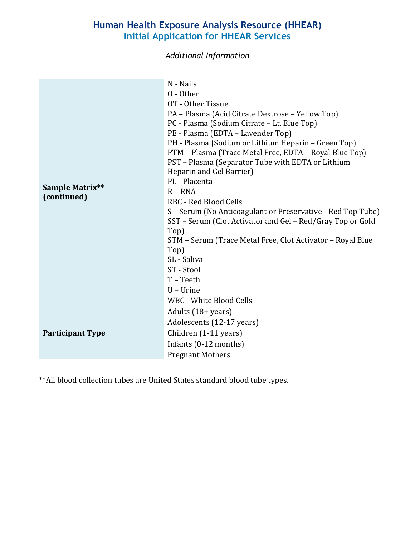*Additional Information*

| Sample Matrix**<br>(continued) | N - Nails<br>0 - Other<br>OT - Other Tissue<br>PA - Plasma (Acid Citrate Dextrose - Yellow Top)<br>PC - Plasma (Sodium Citrate - Lt. Blue Top)<br>PE - Plasma (EDTA - Lavender Top)<br>PH - Plasma (Sodium or Lithium Heparin - Green Top)<br>PTM - Plasma (Trace Metal Free, EDTA - Royal Blue Top)<br>PST - Plasma (Separator Tube with EDTA or Lithium<br>Heparin and Gel Barrier)<br>PL - Placenta<br>$R - RNA$<br><b>RBC</b> - Red Blood Cells<br>S - Serum (No Anticoagulant or Preservative - Red Top Tube)<br>SST - Serum (Clot Activator and Gel - Red/Gray Top or Gold<br>Top)<br>STM - Serum (Trace Metal Free, Clot Activator - Royal Blue<br>Top)<br>SL - Saliva<br>ST - Stool<br>T-Teeth<br>$U$ – Urine<br>WBC - White Blood Cells |
|--------------------------------|--------------------------------------------------------------------------------------------------------------------------------------------------------------------------------------------------------------------------------------------------------------------------------------------------------------------------------------------------------------------------------------------------------------------------------------------------------------------------------------------------------------------------------------------------------------------------------------------------------------------------------------------------------------------------------------------------------------------------------------------------|
| <b>Participant Type</b>        | Adults (18+ years)<br>Adolescents (12-17 years)<br>Children (1-11 years)<br>Infants (0-12 months)<br><b>Pregnant Mothers</b>                                                                                                                                                                                                                                                                                                                                                                                                                                                                                                                                                                                                                     |

\*\*All blood collection tubes are United States standard blood tube types.